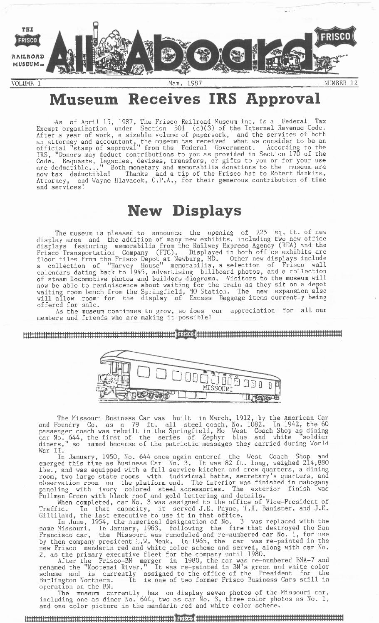

# **Museum Receives IRS Approval**

-As of April 15, 1987, The Frisco Railroad Museum Inc. is a Federal Tax Exempt organization under Section 501 (c)(3) of the Internal Revenue Code. After a year of work, a sizable volume of paperwork, and the services of both an attorney and accountant, the museum has received what we consider to be an official "stamp of approval" from the Federal Government. According to the IRS, "Donors may deduct contributions to you as provided in Section 170 of the Code. Bequests, legacies, devises, transfers, or gifts to you or for your use are deductible..." Both monetary and memorabilia donations to the museum are now tax deductible! Thanks and a tip of the Frisco hat to Robert Hankins, Attorney, and Wayne Hlavacek, C.P.A., for their generous contribution of time and services!

## **New Displays**

The museum is pleased to announce the opening of 225 sq. ft. of new display area and the addition of many new exhibits, including two new office displays featuring memorabilia from the Railway Express Agency (REA) and the Frisco Transportation Contributions of visiting for the museum are deductible..." Both monetary and weaked in Secure Transportation to the museum are deductible..." Both monetary and a tip of the Frisco hat to Robert Hanki floor tiles from the Frisco Depot at Newburg, MO. Other new displays include a collection of "Harvey House" memorabilia, a selection of Frisco wall calendars dating back to 1945, advertising billboard photos, and a collection of steam locomotive photos and builders diagrams. Visitors to the museum will now be able to reminiscence about waiting for the train as they sit on a depot waiting room bench from the Springfield, MO Station. The new expansion also will allow room for the display of Excess Baggage items currently being offered for sale.

As the museum continues to grow, so does our appreciation for all our As the museum continues to grow, so does our appreciation for all our members and friends who are making it possible!

<u> HERRICH IN DESCRIPTION IN THE MILLION OF THE RECOMBENDED OF THE RECOMBENDED OF THE RECOMBENDED OF THE RECOMBENDED OF THE RECOMBENDED OF THE RECOMBENDED OF THE RECOMBENDED OF THE RECOMBENDED OF THE RECOMBENDED OF THE RECO</u>



The Missouri Business Car was built in March, 1912, by the American Car and Foundry Co. as a 79 ft. all steel coach, No. 1082. In 1942, the 60 passenger coach was rebuilt in the Springfield, Mo West Coach Shop as dining car No. 644, the first of the series of Zephyr blue and white "soldier diners," so named because of the patriotic messages they carried during World War II.

In January, 1950, No. 644 once again entered the West Coach Shop and emerged this time as Business Car No. 3. It was 82 ft. long, weighed 214,880 lbs., and was equipped with a full service kitchen and crew quarters, a dining room, two large state rooms with individual baths, secretary's quarters, and observation room on the platform end. The interior was finished in mahogany paneling with ivory colored steel accessories. The exterior finish was Pullman Green with black roof and gold lettering and details.

When completed, car No. 3 was assigned to the office of Vice-President of Traffic. In that capacity, it served J.E. Payne, T.H. Banister, and J.E. Gilliland, the last executive to use it in that office.

In June, 1954, the numerical designation of No. 3 was replaced with the name Missouri. In January, 1963, following the fire that destroyed the San Francisco car, the Missouri was remodeled and re-numbered car No. 1, for use by then company president L.W. Menk. In 1965, the car was re-painted in the new Frisco mandarin red and white color scheme and served, along with car No. 2, as the primary executive fleet for the company until 1980.

After the Frisco-BN merger in 1980, the car was re-numbered BNA-7 and renamed the "Kootenai River." It was re-painted in BN's green and white color scheme and is currently assigned to the office of the President for the Burlington Northern. It is one of two former Frisco Business Cars still in operation on the BN.

The museum currently has on display seven photos of the Missouri car, including one as diner No. 644, two as car No. 3, three color photos as No. 1, and one color picture in the mandarin red and white color scheme.